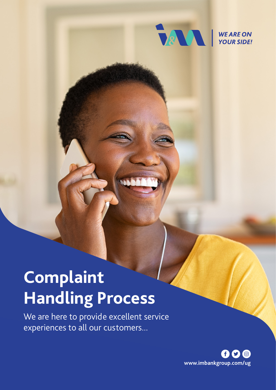

# **Complaint Handling Process**

We are here to provide excellent service experiences to all our customers...